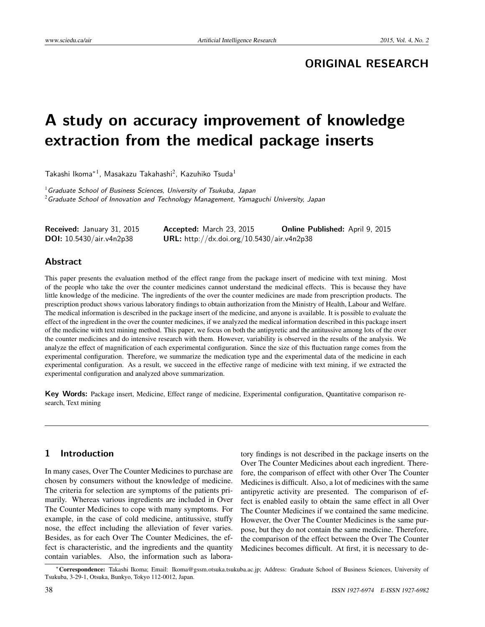# **ORIGINAL RESEARCH**

# **A study on accuracy improvement of knowledge extraction from the medical package inserts**

Takashi Ikoma $^{\ast\,1}$ , Masakazu Takahashi $^2$ , Kazuhiko Tsuda $^1$ 

 $1$  Graduate School of Business Sciences, University of Tsukuba, Japan  $2$ Graduate School of Innovation and Technology Management, Yamaguchi University, Japan

| <b>Received:</b> January 31, 2015 | <b>Accepted:</b> March 23, 2015            | <b>Online Published:</b> April 9, 2015 |
|-----------------------------------|--------------------------------------------|----------------------------------------|
| <b>DOI:</b> 10.5430/air.v4n2p38   | URL: http://dx.doi.org/10.5430/air.v4n2p38 |                                        |

#### **Abstract**

This paper presents the evaluation method of the effect range from the package insert of medicine with text mining. Most of the people who take the over the counter medicines cannot understand the medicinal effects. This is because they have little knowledge of the medicine. The ingredients of the over the counter medicines are made from prescription products. The prescription product shows various laboratory findings to obtain authorization from the Ministry of Health, Labour and Welfare. The medical information is described in the package insert of the medicine, and anyone is available. It is possible to evaluate the effect of the ingredient in the over the counter medicines, if we analyzed the medical information described in this package insert of the medicine with text mining method. This paper, we focus on both the antipyretic and the antitussive among lots of the over the counter medicines and do intensive research with them. However, variability is observed in the results of the analysis. We analyze the effect of magnification of each experimental configuration. Since the size of this fluctuation range comes from the experimental configuration. Therefore, we summarize the medication type and the experimental data of the medicine in each experimental configuration. As a result, we succeed in the effective range of medicine with text mining, if we extracted the experimental configuration and analyzed above summarization.

**Key Words:** Package insert, Medicine, Effect range of medicine, Experimental configuration, Quantitative comparison research, Text mining

### **1 Introduction**

In many cases, Over The Counter Medicines to purchase are chosen by consumers without the knowledge of medicine. The criteria for selection are symptoms of the patients primarily. Whereas various ingredients are included in Over The Counter Medicines to cope with many symptoms. For example, in the case of cold medicine, antitussive, stuffy nose, the effect including the alleviation of fever varies. Besides, as for each Over The Counter Medicines, the effect is characteristic, and the ingredients and the quantity contain variables. Also, the information such as laboratory findings is not described in the package inserts on the Over The Counter Medicines about each ingredient. Therefore, the comparison of effect with other Over The Counter Medicines is difficult. Also, a lot of medicines with the same antipyretic activity are presented. The comparison of effect is enabled easily to obtain the same effect in all Over The Counter Medicines if we contained the same medicine. However, the Over The Counter Medicines is the same purpose, but they do not contain the same medicine. Therefore, the comparison of the effect between the Over The Counter Medicines becomes difficult. At first, it is necessary to de-

<sup>∗</sup>Correspondence: Takashi Ikoma; Email: Ikoma@gssm.otsuka.tsukuba.ac.jp; Address: Graduate School of Business Sciences, University of Tsukuba, 3-29-1, Otsuka, Bunkyo, Tokyo 112-0012, Japan.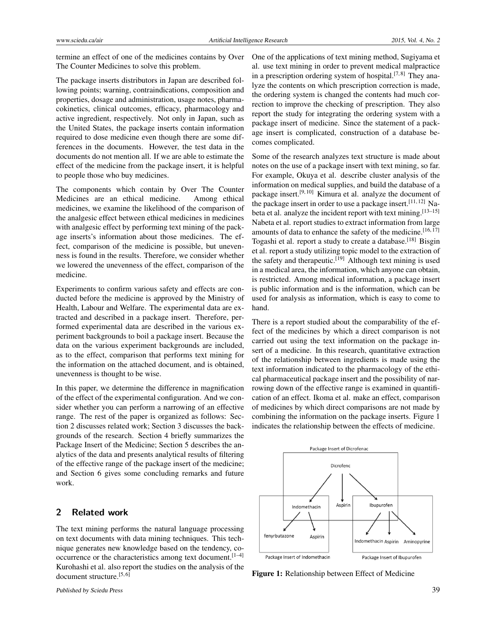termine an effect of one of the medicines contains by Over The Counter Medicines to solve this problem.

The package inserts distributors in Japan are described following points; warning, contraindications, composition and properties, dosage and administration, usage notes, pharmacokinetics, clinical outcomes, efficacy, pharmacology and active ingredient, respectively. Not only in Japan, such as the United States, the package inserts contain information required to dose medicine even though there are some differences in the documents. However, the test data in the documents do not mention all. If we are able to estimate the effect of the medicine from the package insert, it is helpful to people those who buy medicines.

The components which contain by Over The Counter Medicines are an ethical medicine. Among ethical medicines, we examine the likelihood of the comparison of the analgesic effect between ethical medicines in medicines with analgesic effect by performing text mining of the package inserts's information about those medicines. The effect, comparison of the medicine is possible, but unevenness is found in the results. Therefore, we consider whether we lowered the unevenness of the effect, comparison of the medicine.

Experiments to confirm various safety and effects are conducted before the medicine is approved by the Ministry of Health, Labour and Welfare. The experimental data are extracted and described in a package insert. Therefore, performed experimental data are described in the various experiment backgrounds to boil a package insert. Because the data on the various experiment backgrounds are included, as to the effect, comparison that performs text mining for the information on the attached document, and is obtained, unevenness is thought to be wise.

In this paper, we determine the difference in magnification of the effect of the experimental configuration. And we consider whether you can perform a narrowing of an effective range. The rest of the paper is organized as follows: Section 2 discusses related work; Section 3 discusses the backgrounds of the research. Section 4 briefly summarizes the Package Insert of the Medicine; Section 5 describes the analytics of the data and presents analytical results of filtering of the effective range of the package insert of the medicine; and Section 6 gives some concluding remarks and future work.

#### **2 Related work**

The text mining performs the natural language processing on text documents with data mining techniques. This technique generates new knowledge based on the tendency, co-occurrence or the characteristics among text document.<sup>[\[1](#page-5-0)-4]</sup> Kurohashi et al. also report the studies on the analysis of the document structure.<sup>[\[5,](#page-5-2) [6\]](#page-5-3)</sup>

One of the applications of text mining method, Sugiyama et al. use text mining in order to prevent medical malpractice in a prescription ordering system of hospital.<sup>[\[7,](#page-5-4)[8\]](#page-5-5)</sup> They analyze the contents on which prescription correction is made, the ordering system is changed the contents had much correction to improve the checking of prescription. They also report the study for integrating the ordering system with a package insert of medicine. Since the statement of a package insert is complicated, construction of a database becomes complicated.

Some of the research analyzes text structure is made about notes on the use of a package insert with text mining, so far. For example, Okuya et al. describe cluster analysis of the information on medical supplies, and build the database of a package insert.<sup>[\[9,](#page-5-6) [10\]](#page-5-7)</sup> Kimura et al. analyze the document of the package insert in order to use a package insert.<sup>[\[11,](#page-5-8) [12\]](#page-5-9)</sup> Nabeta et al. analyze the incident report with text mining.[\[13](#page-5-10)[–15\]](#page-5-11) Nabeta et al. report studies to extract information from large amounts of data to enhance the safety of the medicine.<sup>[\[16,](#page-6-0)[17\]](#page-6-1)</sup> Togashi et al. report a study to create a database.<sup>[\[18\]](#page-6-2)</sup> Bisgin et al. report a study utilizing topic model to the extraction of the safety and therapeutic.<sup>[\[19\]](#page-6-3)</sup> Although text mining is used in a medical area, the information, which anyone can obtain, is restricted. Among medical information, a package insert is public information and is the information, which can be used for analysis as information, which is easy to come to hand.

There is a report studied about the comparability of the effect of the medicines by which a direct comparison is not carried out using the text information on the package insert of a medicine. In this research, quantitative extraction of the relationship between ingredients is made using the text information indicated to the pharmacology of the ethical pharmaceutical package insert and the possibility of narrowing down of the effective range is examined in quantification of an effect. Ikoma et al. make an effect, comparison of medicines by which direct comparisons are not made by combining the information on the package inserts. Figure [1](#page-1-0) indicates the relationship between the effects of medicine.



<span id="page-1-0"></span>Figure 1: Relationship between Effect of Medicine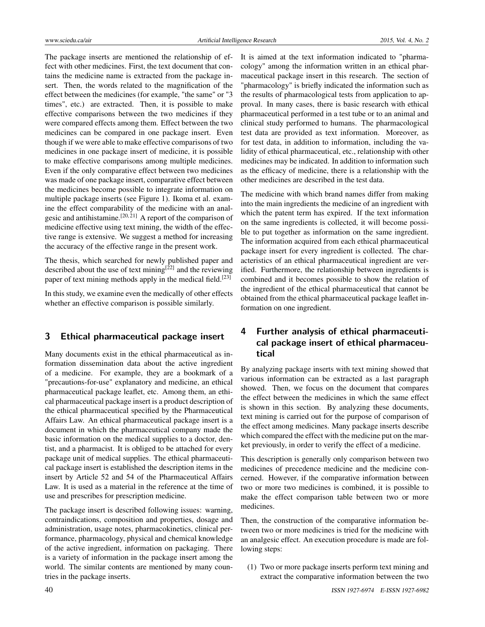The package inserts are mentioned the relationship of effect with other medicines. First, the text document that contains the medicine name is extracted from the package insert. Then, the words related to the magnification of the effect between the medicines (for example, "the same" or "3 times", etc.) are extracted. Then, it is possible to make effective comparisons between the two medicines if they were compared effects among them. Effect between the two medicines can be compared in one package insert. Even though if we were able to make effective comparisons of two medicines in one package insert of medicine, it is possible to make effective comparisons among multiple medicines. Even if the only comparative effect between two medicines was made of one package insert, comparative effect between the medicines become possible to integrate information on multiple package inserts (see Figure 1). Ikoma et al. examine the effect comparability of the medicine with an anal-gesic and antihistamine.<sup>[\[20,](#page-6-4)[21\]](#page-6-5)</sup> A report of the comparison of medicine effective using text mining, the width of the effective range is extensive. We suggest a method for increasing the accuracy of the effective range in the present work.

The thesis, which searched for newly published paper and described about the use of text mining<sup>[\[22\]](#page-6-6)</sup> and the reviewing paper of text mining methods apply in the medical field.<sup>[\[23\]](#page-6-7)</sup>

In this study, we examine even the medically of other effects whether an effective comparison is possible similarly.

#### **3 Ethical pharmaceutical package insert**

Many documents exist in the ethical pharmaceutical as information dissemination data about the active ingredient of a medicine. For example, they are a bookmark of a "precautions-for-use" explanatory and medicine, an ethical pharmaceutical package leaflet, etc. Among them, an ethical pharmaceutical package insert is a product description of the ethical pharmaceutical specified by the Pharmaceutical Affairs Law. An ethical pharmaceutical package insert is a document in which the pharmaceutical company made the basic information on the medical supplies to a doctor, dentist, and a pharmacist. It is obliged to be attached for every package unit of medical supplies. The ethical pharmaceutical package insert is established the description items in the insert by Article 52 and 54 of the Pharmaceutical Affairs Law. It is used as a material in the reference at the time of use and prescribes for prescription medicine.

The package insert is described following issues: warning, contraindications, composition and properties, dosage and administration, usage notes, pharmacokinetics, clinical performance, pharmacology, physical and chemical knowledge of the active ingredient, information on packaging. There is a variety of information in the package insert among the world. The similar contents are mentioned by many countries in the package inserts.

It is aimed at the text information indicated to "pharmacology" among the information written in an ethical pharmaceutical package insert in this research. The section of "pharmacology" is briefly indicated the information such as the results of pharmacological tests from application to approval. In many cases, there is basic research with ethical pharmaceutical performed in a test tube or to an animal and clinical study performed to humans. The pharmacological test data are provided as text information. Moreover, as for test data, in addition to information, including the validity of ethical pharmaceutical, etc., relationship with other medicines may be indicated. In addition to information such as the efficacy of medicine, there is a relationship with the other medicines are described in the test data.

The medicine with which brand names differ from making into the main ingredients the medicine of an ingredient with which the patent term has expired. If the text information on the same ingredients is collected, it will become possible to put together as information on the same ingredient. The information acquired from each ethical pharmaceutical package insert for every ingredient is collected. The characteristics of an ethical pharmaceutical ingredient are verified. Furthermore, the relationship between ingredients is combined and it becomes possible to show the relation of the ingredient of the ethical pharmaceutical that cannot be obtained from the ethical pharmaceutical package leaflet information on one ingredient.

# **4 Further analysis of ethical pharmaceutical package insert of ethical pharmaceutical**

By analyzing package inserts with text mining showed that various information can be extracted as a last paragraph showed. Then, we focus on the document that compares the effect between the medicines in which the same effect is shown in this section. By analyzing these documents, text mining is carried out for the purpose of comparison of the effect among medicines. Many package inserts describe which compared the effect with the medicine put on the market previously, in order to verify the effect of a medicine.

This description is generally only comparison between two medicines of precedence medicine and the medicine concerned. However, if the comparative information between two or more two medicines is combined, it is possible to make the effect comparison table between two or more medicines.

Then, the construction of the comparative information between two or more medicines is tried for the medicine with an analgesic effect. An execution procedure is made are following steps:

(1) Two or more package inserts perform text mining and extract the comparative information between the two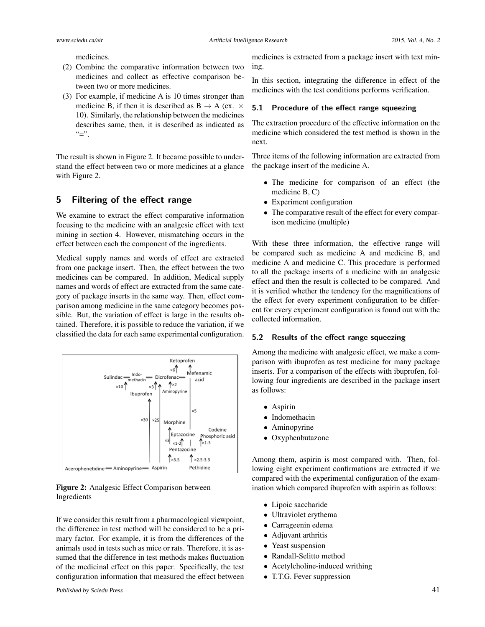medicines.

- (2) Combine the comparative information between two medicines and collect as effective comparison between two or more medicines.
- (3) For example, if medicine A is 10 times stronger than medicine B, if then it is described as  $B \rightarrow A$  (ex.  $\times$ 10). Similarly, the relationship between the medicines describes same, then, it is described as indicated as  $``=$ ".

The result is shown in Figure [2.](#page-3-0) It became possible to understand the effect between two or more medicines at a glance with Figure [2.](#page-3-0)

#### **5 Filtering of the effect range**

We examine to extract the effect comparative information focusing to the medicine with an analgesic effect with text mining in section 4. However, mismatching occurs in the effect between each the component of the ingredients.

Medical supply names and words of effect are extracted from one package insert. Then, the effect between the two medicines can be compared. In addition, Medical supply names and words of effect are extracted from the same category of package inserts in the same way. Then, effect comparison among medicine in the same category becomes possible. But, the variation of effect is large in the results obtained. Therefore, it is possible to reduce the variation, if we classified the data for each same experimental configuration.



#### <span id="page-3-0"></span>Figure 2: Analgesic Effect Comparison between Ingredients

If we consider this result from a pharmacological viewpoint, the difference in test method will be considered to be a primary factor. For example, it is from the differences of the animals used in tests such as mice or rats. Therefore, it is assumed that the difference in test methods makes fluctuation of the medicinal effect on this paper. Specifically, the test configuration information that measured the effect between

medicines is extracted from a package insert with text mining.

In this section, integrating the difference in effect of the medicines with the test conditions performs verification.

#### **5.1 Procedure of the effect range squeezing**

The extraction procedure of the effective information on the medicine which considered the test method is shown in the next.

Three items of the following information are extracted from the package insert of the medicine A.

- The medicine for comparison of an effect (the medicine B, C)
- Experiment configuration
- The comparative result of the effect for every comparison medicine (multiple)

With these three information, the effective range will be compared such as medicine A and medicine B, and medicine A and medicine C. This procedure is performed to all the package inserts of a medicine with an analgesic effect and then the result is collected to be compared. And it is verified whether the tendency for the magnifications of the effect for every experiment configuration to be different for every experiment configuration is found out with the collected information.

#### **5.2 Results of the effect range squeezing**

Among the medicine with analgesic effect, we make a comparison with ibuprofen as test medicine for many package inserts. For a comparison of the effects with ibuprofen, following four ingredients are described in the package insert as follows:

- Aspirin
- Indomethacin
- Aminopyrine
- Oxyphenbutazone

Among them, aspirin is most compared with. Then, following eight experiment confirmations are extracted if we compared with the experimental configuration of the examination which compared ibuprofen with aspirin as follows:

- Lipoic saccharide
- Ultraviolet erythema
- Carrageenin edema
- Adjuvant arthritis
- Yeast suspension
- Randall-Selitto method
- Acetylcholine-induced writhing
- T.T.G. Fever suppression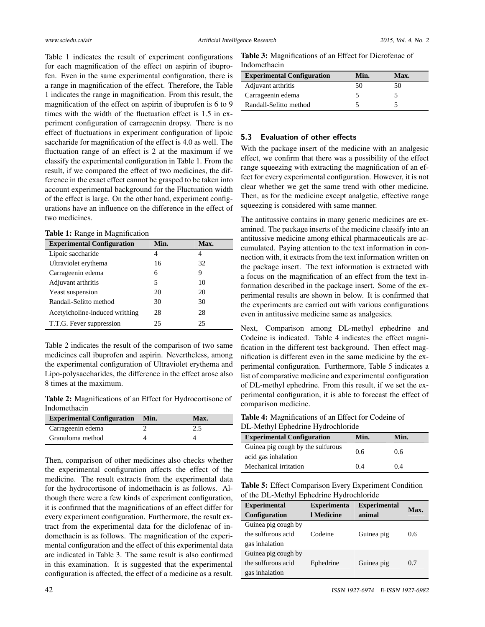Table 1 indicates the result of experiment configurations for each magnification of the effect on aspirin of ibuprofen. Even in the same experimental configuration, there is a range in magnification of the effect. Therefore, the Table 1 indicates the range in magnification. From this result, the magnification of the effect on aspirin of ibuprofen is 6 to 9 times with the width of the fluctuation effect is 1.5 in experiment configuration of carrageenin dropsy. There is no effect of fluctuations in experiment configuration of lipoic saccharide for magnification of the effect is 4.0 as well. The fluctuation range of an effect is 2 at the maximum if we classify the experimental configuration in Table 1. From the result, if we compared the effect of two medicines, the difference in the exact effect cannot be grasped to be taken into account experimental background for the Fluctuation width of the effect is large. On the other hand, experiment configurations have an influence on the difference in the effect of two medicines.

|  |  |  | Table 1: Range in Magnification |  |  |  |  |
|--|--|--|---------------------------------|--|--|--|--|
|--|--|--|---------------------------------|--|--|--|--|

| <b>Experimental Configuration</b> | Min. | Max. |
|-----------------------------------|------|------|
| Lipoic saccharide                 | 4    | 4    |
| Ultraviolet erythema              | 16   | 32   |
| Carrageenin edema                 | 6    | 9    |
| Adjuvant arthritis                | 5    | 10   |
| Yeast suspension                  | 20   | 20   |
| Randall-Selitto method            | 30   | 30   |
| Acetylcholine-induced writhing    | 28   | 28   |
| T.T.G. Fever suppression          | 25   | 25   |

Table 2 indicates the result of the comparison of two same medicines call ibuprofen and aspirin. Nevertheless, among the experimental configuration of Ultraviolet erythema and Lipo-polysaccharides, the difference in the effect arose also 8 times at the maximum.

Table 2: Magnifications of an Effect for Hydrocortisone of Indomethacin

| <b>Experimental Configuration</b> | Min. | Max. |
|-----------------------------------|------|------|
| Carrageenin edema                 |      | 2.5  |
| Granuloma method                  |      |      |

Then, comparison of other medicines also checks whether the experimental configuration affects the effect of the medicine. The result extracts from the experimental data for the hydrocortisone of indomethacin is as follows. Although there were a few kinds of experiment configuration, it is confirmed that the magnifications of an effect differ for every experiment configuration. Furthermore, the result extract from the experimental data for the diclofenac of indomethacin is as follows. The magnification of the experimental configuration and the effect of this experimental data are indicated in Table 3. The same result is also confirmed in this examination. It is suggested that the experimental configuration is affected, the effect of a medicine as a result.

Table 3: Magnifications of an Effect for Dicrofenac of Indomethacin

| <b>Experimental Configuration</b> | Min. | Max. |  |
|-----------------------------------|------|------|--|
| Adjuvant arthritis                | 50   | 50   |  |
| Carrageenin edema                 |      |      |  |
| Randall-Selitto method            |      |      |  |

#### **5.3 Evaluation of other effects**

With the package insert of the medicine with an analgesic effect, we confirm that there was a possibility of the effect range squeezing with extracting the magnification of an effect for every experimental configuration. However, it is not clear whether we get the same trend with other medicine. Then, as for the medicine except analgetic, effective range squeezing is considered with same manner.

The antitussive contains in many generic medicines are examined. The package inserts of the medicine classify into an antitussive medicine among ethical pharmaceuticals are accumulated. Paying attention to the text information in connection with, it extracts from the text information written on the package insert. The text information is extracted with a focus on the magnification of an effect from the text information described in the package insert. Some of the experimental results are shown in below. It is confirmed that the experiments are carried out with various configurations even in antitussive medicine same as analgesics.

Next, Comparison among DL-methyl ephedrine and Codeine is indicated. Table 4 indicates the effect magnification in the different test background. Then effect magnification is different even in the same medicine by the experimental configuration. Furthermore, Table 5 indicates a list of comparative medicine and experimental configuration of DL-methyl ephedrine. From this result, if we set the experimental configuration, it is able to forecast the effect of comparison medicine.

| <b>Table 4:</b> Magnifications of an Effect for Codeine of |  |
|------------------------------------------------------------|--|
| DL-Methyl Ephedrine Hydrochloride                          |  |

| <b>Experimental Configuration</b> | Min. | Min. |
|-----------------------------------|------|------|
| Guinea pig cough by the sulfurous | 0.6  | 0.6  |
| acid gas inhalation               |      |      |
| Mechanical irritation             | 0.4  | 0.4  |

Table 5: Effect Comparison Every Experiment Condition of the DL-Methyl Ephedrine Hydrochloride

| <b>Experimental</b><br><b>Configuration</b>                 | <b>Experimenta</b><br>1 Medicine | <b>Experimental</b><br>animal | Max. |
|-------------------------------------------------------------|----------------------------------|-------------------------------|------|
| Guinea pig cough by<br>the sulfurous acid<br>gas inhalation | Codeine                          | Guinea pig                    | 0.6  |
| Guinea pig cough by<br>the sulfurous acid<br>gas inhalation | Ephedrine                        | Guinea pig                    | 0.7  |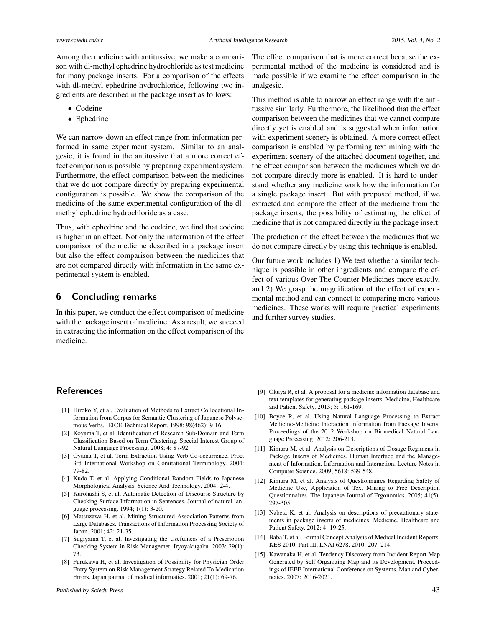Among the medicine with antitussive, we make a comparison with dl-methyl ephedrine hydrochloride as test medicine for many package inserts. For a comparison of the effects with dl-methyl ephedrine hydrochloride, following two ingredients are described in the package insert as follows:

- Codeine
- Ephedrine

We can narrow down an effect range from information performed in same experiment system. Similar to an analgesic, it is found in the antitussive that a more correct effect comparison is possible by preparing experiment system. Furthermore, the effect comparison between the medicines that we do not compare directly by preparing experimental configuration is possible. We show the comparison of the medicine of the same experimental configuration of the dlmethyl ephedrine hydrochloride as a case.

Thus, with ephedrine and the codeine, we find that codeine is higher in an effect. Not only the information of the effect comparison of the medicine described in a package insert but also the effect comparison between the medicines that are not compared directly with information in the same experimental system is enabled.

#### **6 Concluding remarks**

In this paper, we conduct the effect comparison of medicine with the package insert of medicine. As a result, we succeed in extracting the information on the effect comparison of the medicine.

The effect comparison that is more correct because the experimental method of the medicine is considered and is made possible if we examine the effect comparison in the analgesic.

This method is able to narrow an effect range with the antitussive similarly. Furthermore, the likelihood that the effect comparison between the medicines that we cannot compare directly yet is enabled and is suggested when information with experiment scenery is obtained. A more correct effect comparison is enabled by performing text mining with the experiment scenery of the attached document together, and the effect comparison between the medicines which we do not compare directly more is enabled. It is hard to understand whether any medicine work how the information for a single package insert. But with proposed method, if we extracted and compare the effect of the medicine from the package inserts, the possibility of estimating the effect of medicine that is not compared directly in the package insert.

The prediction of the effect between the medicines that we do not compare directly by using this technique is enabled.

Our future work includes 1) We test whether a similar technique is possible in other ingredients and compare the effect of various Over The Counter Medicines more exactly, and 2) We grasp the magnification of the effect of experimental method and can connect to comparing more various medicines. These works will require practical experiments and further survey studies.

# **References**

- <span id="page-5-0"></span>[1] Hiroko Y, et al. Evaluation of Methods to Extract Collocational Information from Corpus for Semantic Clustering of Japanese Polysemous Verbs. IEICE Technical Report. 1998; 98(462): 9-16.
- [2] Koyama T, et al. Identification of Research Sub-Domain and Term Classification Based on Term Clustering. Special Interest Group of Natural Language Processing. 2008; 4: 87-92.
- [3] Oyama T, et al. Term Extraction Using Verb Co-occurrence. Proc. 3rd International Workshop on Comitational Terminology. 2004: 79-82.
- <span id="page-5-1"></span>[4] Kudo T, et al. Applying Conditional Random Fields to Japanese Morphological Analysis. Science And Technology. 2004: 2-4.
- <span id="page-5-2"></span>[5] Kurohashi S, et al. Automatic Detection of Discourse Structure by Checking Surface Information in Sentences. Journal of natural language processing. 1994; 1(1): 3-20.
- <span id="page-5-3"></span>[6] Matsuzawa H, et al. Mining Structured Association Patterns from Large Databases. Transactions of Information Processing Society of Japan. 2001; 42: 21-35.
- <span id="page-5-4"></span>[7] Sugiyama T, et al. Investigating the Usefulness of a Prescriotion Checking System in Risk Managemet. Iryoyakugaku. 2003; 29(1): 73.
- <span id="page-5-5"></span>[8] Furukawa H, et al. Investigation of Possibility for Physician Order Entry System on Risk Management Strategy Related To Medication Errors. Japan journal of medical informatics. 2001; 21(1): 69-76.
- <span id="page-5-6"></span>[9] Okuya R, et al. A proposal for a medicine information database and text templates for generating package inserts. Medicine, Healthcare and Patient Safety. 2013; 5: 161-169.
- <span id="page-5-7"></span>[10] Boyce R, et al. Using Natural Language Processing to Extract Medicine-Medicine Interaction Information from Package Inserts. Proceedings of the 2012 Workshop on Biomedical Natural Language Processing. 2012: 206-213.
- <span id="page-5-8"></span>[11] Kimura M, et al. Analysis on Descriptions of Dosage Regimens in Package Inserts of Medicines. Human Interface and the Management of Information. Information and Interaction. Lecture Notes in Computer Science. 2009; 5618: 539-548.
- <span id="page-5-9"></span>[12] Kimura M, et al. Analysis of Questionnaires Regarding Safety of Medicine Use, Application of Text Mining to Free Description Questionnaires. The Japanese Journal of Ergonomics. 2005; 41(5): 297-305.
- <span id="page-5-10"></span>[13] Nabeta K, et al. Analysis on descriptions of precautionary statements in package inserts of medicines. Medicine, Healthcare and Patient Safety. 2012; 4: 19-25.
- [14] Baba T, et al. Formal Concept Analysis of Medical Incident Reports. KES 2010, Part III, LNAI 6278. 2010: 207–214.
- <span id="page-5-11"></span>[15] Kawanaka H, et al. Tendency Discovery from Incident Report Map Generated by Self Organizing Map and its Development. Proceedings of IEEE International Conference on Systems, Man and Cybernetics. 2007: 2016-2021.